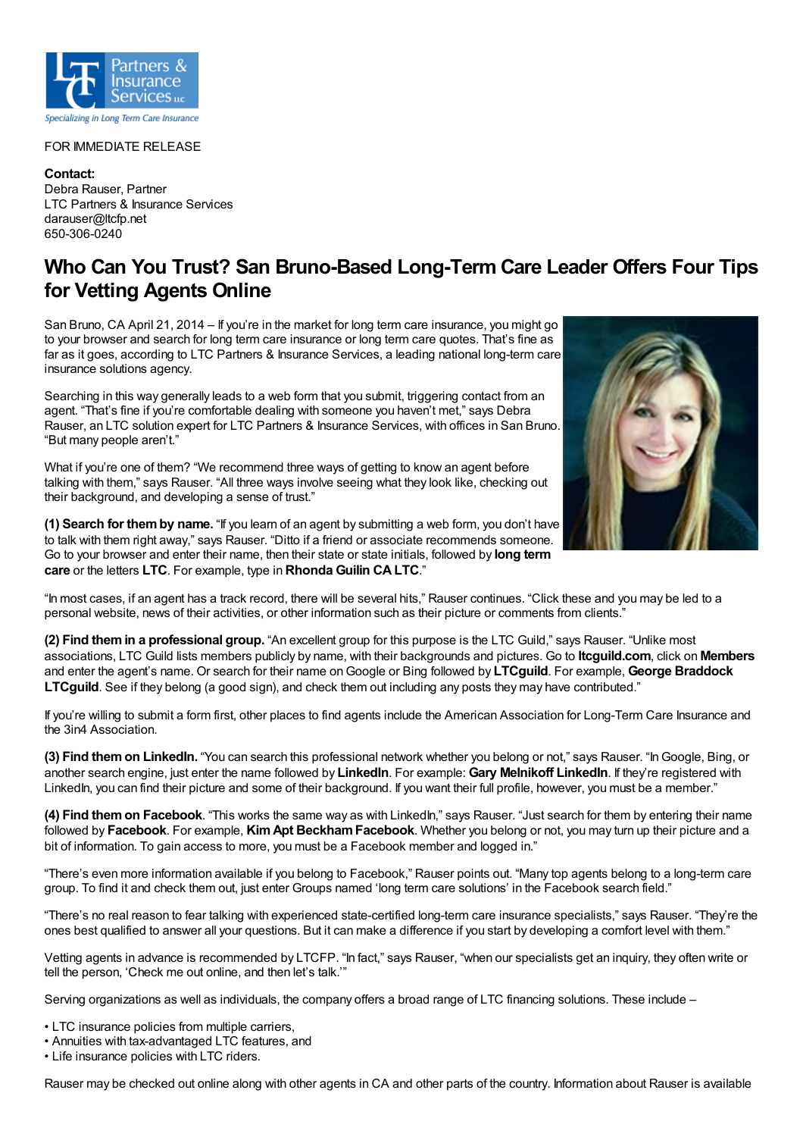

## FOR IMMEDIATE RELEASE

**Contact:** Debra Rauser, Partner LTC Partners & Insurance Services darauser@ltcfp.net 650-306-0240

## **Who Can You Trust? San Bruno-Based Long-Term Care Leader Offers Four Tips for Vetting Agents Online**

San Bruno, CA April 21, 2014 – If you're in the market for long term care insurance, you might go to your browser and search for long term care insurance or long term care quotes. That's fine as far as it goes, according to LTC Partners & Insurance Services, a leading national long-term care insurance solutions agency.

Searching in this way generally leads to a web form that you submit, triggering contact from an agent. "That's fine if you're comfortable dealing with someone you haven't met," says Debra Rauser, an LTC solution expert for LTC Partners & Insurance Services, with offices in San Bruno. "But many people aren't."

What if you're one of them? "We recommend three ways of getting to know an agent before talking with them," says Rauser. "All three ways involve seeing what they look like, checking out their background, and developing a sense of trust."

**(1) Search for themby name.** "If you learn of an agent by submitting a web form, you don't have to talk with them right away," says Rauser. "Ditto if a friend or associate recommends someone. Go to your browser and enter their name, then their state or state initials, followed by **long term care** or the letters **LTC**. For example, type in **Rhonda Guilin CALTC**."



"In most cases, if an agent has a track record, there will be several hits," Rauser continues. "Click these and you may be led to a personal website, news of their activities, or other information such as their picture or comments from clients."

**(2) Find themin a professional group.** "An excellent group for this purpose is the LTC Guild," says Rauser. "Unlike most associations, LTC Guild lists members publicly by name, with their backgrounds and pictures. Go to **ltcguild.com**, click on **Members** and enter the agent's name. Or search for their name onGoogle or Bing followed by **LTCguild**. For example, **George Braddock LTCguild**. See if they belong (a good sign), and check them out including any posts they may have contributed."

If you're willing to submit a form first, other places to find agents include the American Association for Long-Term Care Insurance and the 3in4 Association.

**(3) Find themon LinkedIn.** "You can search this professional network whether you belong or not," says Rauser. "InGoogle, Bing, or another search engine, just enter the name followed by **LinkedIn**. For example: **Gary Melnikoff LinkedIn**. If they're registered with LinkedIn, you can find their picture and some of their background. If you want their full profile, however, you must be a member."

**(4) Find themon Facebook**. "This works the same way as with LinkedIn," says Rauser. "Just search for them by entering their name followed by **Facebook**. For example, **KimApt BeckhamFacebook**. Whether you belong or not, you may turn up their picture and a bit of information. To gain access to more, you must be a Facebook member and logged in."

"There's even more information available if you belong to Facebook," Rauser points out. "Many top agents belong to a long-term care group. To find it and check them out, just enter Groups named 'long term care solutions' in the Facebook search field."

"There's no real reason to fear talking with experienced state-certified long-term care insurance specialists," says Rauser. "They're the ones best qualified to answer all your questions. But it can make a difference if you start by developing a comfort level with them."

Vetting agents in advance is recommended by LTCFP. "In fact," says Rauser, "when our specialists get an inquiry, they often write or tell the person, 'Check me out online, and then let's talk.'"

Serving organizations as well as individuals, the company offers a broad range of LTC financing solutions. These include –

- LTC insurance policies from multiple carriers,
- Annuities with tax-advantaged LTC features, and

• Life insurance policies with LTC riders.

Rauser may be checked out online along with other agents in CA and other parts of the country. Information about Rauser is available